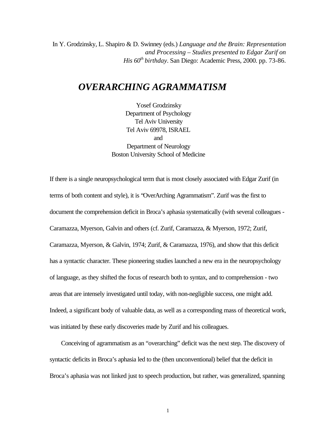In Y. Grodzinsky, L. Shapiro & D. Swinney (eds.) *Language and the Brain: Representation and Processing – Studies presented to Edgar Zurif on His 60th birthday*. San Diego: Academic Press, 2000. pp. 73-86.

## *OVERARCHING AGRAMMATISM*

Yosef Grodzinsky Department of Psychology Tel Aviv University Tel Aviv 69978, ISRAEL and Department of Neurology Boston University School of Medicine

If there is a single neuropsychological term that is most closely associated with Edgar Zurif (in terms of both content and style), it is "OverArching Agrammatism". Zurif was the first to document the comprehension deficit in Broca's aphasia systematically (with several colleagues - Caramazza, Myerson, Galvin and others (cf. Zurif, Caramazza, & Myerson, 1972; Zurif, Caramazza, Myerson, & Galvin, 1974; Zurif, & Caramazza, 1976), and show that this deficit has a syntactic character. These pioneering studies launched a new era in the neuropsychology of language, as they shifted the focus of research both to syntax, and to comprehension - two areas that are intensely investigated until today, with non-negligible success, one might add. Indeed, a significant body of valuable data, as well as a corresponding mass of theoretical work, was initiated by these early discoveries made by Zurif and his colleagues.

Conceiving of agrammatism as an "overarching" deficit was the next step. The discovery of syntactic deficits in Broca's aphasia led to the (then unconventional) belief that the deficit in Broca's aphasia was not linked just to speech production, but rather, was generalized, spanning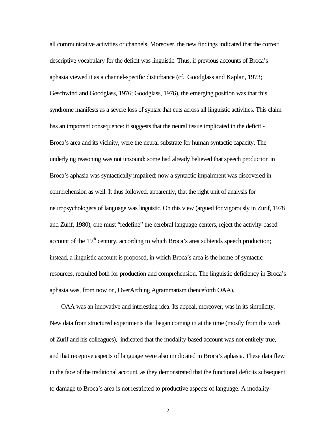all communicative activities or channels. Moreover, the new findings indicated that the correct descriptive vocabulary for the deficit was linguistic. Thus, if previous accounts of Broca's aphasia viewed it as a channel-specific disturbance (cf. Goodglass and Kaplan, 1973; Geschwind and Goodglass, 1976; Goodglass, 1976), the emerging position was that this syndrome manifests as a severe loss of syntax that cuts across all linguistic activities. This claim has an important consequence: it suggests that the neural tissue implicated in the deficit -Broca's area and its vicinity, were the neural substrate for human syntactic capacity. The underlying reasoning was not unsound: some had already believed that speech production in Broca's aphasia was syntactically impaired; now a syntactic impairment was discovered in comprehension as well. It thus followed, apparently, that the right unit of analysis for neuropsychologists of language was linguistic. On this view (argued for vigorously in Zurif, 1978 and Zurif, 1980), one must "redefine" the cerebral language centers, reject the activity-based account of the 19<sup>th</sup> century, according to which Broca's area subtends speech production; instead, a linguistic account is proposed, in which Broca's area is the home of syntactic resources, recruited both for production and comprehension. The linguistic deficiency in Broca's aphasia was, from now on, OverArching Agrammatism (henceforth OAA).

OAA was an innovative and interesting idea. Its appeal, moreover, was in its simplicity. New data from structured experiments that began coming in at the time (mostly from the work of Zurif and his colleagues), indicated that the modality-based account was not entirely true, and that receptive aspects of language were also implicated in Broca's aphasia. These data flew in the face of the traditional account, as they demonstrated that the functional deficits subsequent to damage to Broca's area is not restricted to productive aspects of language. A modality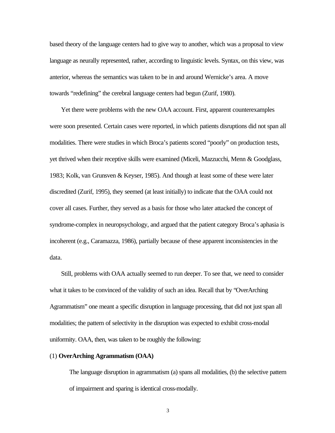based theory of the language centers had to give way to another, which was a proposal to view language as neurally represented, rather, according to linguistic levels. Syntax, on this view, was anterior, whereas the semantics was taken to be in and around Wernicke's area. A move towards "redefining" the cerebral language centers had begun (Zurif, 1980).

Yet there were problems with the new OAA account. First, apparent counterexamples were soon presented. Certain cases were reported, in which patients disruptions did not span all modalities. There were studies in which Broca's patients scored "poorly" on production tests, yet thrived when their receptive skills were examined (Miceli, Mazzucchi, Menn & Goodglass, 1983; Kolk, van Grunsven & Keyser, 1985). And though at least some of these were later discredited (Zurif, 1995), they seemed (at least initially) to indicate that the OAA could not cover all cases. Further, they served as a basis for those who later attacked the concept of syndrome-complex in neuropsychology, and argued that the patient category Broca's aphasia is incoherent (e.g., Caramazza, 1986), partially because of these apparent inconsistencies in the data.

Still, problems with OAA actually seemed to run deeper. To see that, we need to consider what it takes to be convinced of the validity of such an idea. Recall that by "OverArching Agrammatism" one meant a specific disruption in language processing, that did not just span all modalities; the pattern of selectivity in the disruption was expected to exhibit cross-modal uniformity. OAA, then, was taken to be roughly the following:

### (1) **OverArching Agrammatism (OAA)**

The language disruption in agrammatism (a) spans all modalities, (b) the selective pattern of impairment and sparing is identical cross-modally.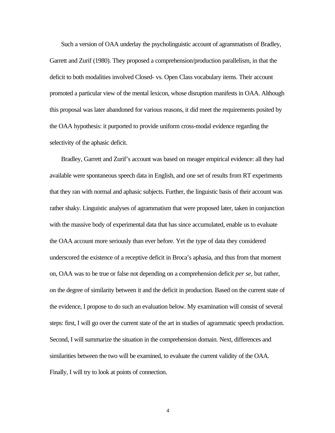Such a version of OAA underlay the psycholinguistic account of agrammatism of Bradley, Garrett and Zurif (1980). They proposed a comprehension/production parallelism, in that the deficit to both modalities involved Closed- vs. Open Class vocabulary items. Their account promoted a particular view of the mental lexicon, whose disruption manifests in OAA. Although this proposal was later abandoned for various reasons, it did meet the requirements posited by the OAA hypothesis: it purported to provide uniform cross-modal evidence regarding the selectivity of the aphasic deficit.

Bradley, Garrett and Zurif's account was based on meager empirical evidence: all they had available were spontaneous speech data in English, and one set of results from RT experiments that they ran with normal and aphasic subjects. Further, the linguistic basis of their account was rather shaky. Linguistic analyses of agrammatism that were proposed later, taken in conjunction with the massive body of experimental data that has since accumulated, enable us to evaluate the OAA account more seriously than ever before. Yet the type of data they considered underscored the existence of a receptive deficit in Broca's aphasia, and thus from that moment on, OAA was to be true or false not depending on a comprehension deficit *per se*, but rather, on the degree of similarity between it and the deficit in production. Based on the current state of the evidence, I propose to do such an evaluation below. My examination will consist of several steps: first, I will go over the current state of the art in studies of agrammatic speech production. Second, I will summarize the situation in the comprehension domain. Next, differences and similarities between the two will be examined, to evaluate the current validity of the OAA. Finally, I will try to look at points of connection.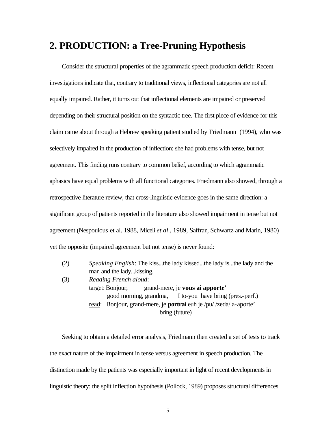# **2. PRODUCTION: a Tree-Pruning Hypothesis**

Consider the structural properties of the agrammatic speech production deficit: Recent investigations indicate that, contrary to traditional views, inflectional categories are not all equally impaired. Rather, it turns out that inflectional elements are impaired or preserved depending on their structural position on the syntactic tree. The first piece of evidence for this claim came about through a Hebrew speaking patient studied by Friedmann (1994), who was selectively impaired in the production of inflection: she had problems with tense, but not agreement. This finding runs contrary to common belief, according to which agrammatic aphasics have equal problems with all functional categories. Friedmann also showed, through a retrospective literature review, that cross-linguistic evidence goes in the same direction: a significant group of patients reported in the literature also showed impairment in tense but not agreement (Nespoulous et al. 1988, Miceli *et al*., 1989, Saffran, Schwartz and Marin, 1980) yet the opposite (impaired agreement but not tense) is never found:

| (2) | <i>Speaking English:</i> The kissthe lady kissedthe lady isthe lady and the |  |  |
|-----|-----------------------------------------------------------------------------|--|--|
|     | man and the lady kissing.                                                   |  |  |
| (3) | Reading French aloud:                                                       |  |  |
|     | target: Bonjour, grand-mere, je vous ai apporte'                            |  |  |
|     | good morning, grandma, I to-you have bring (pres.-perf.)                    |  |  |
|     | read: Bonjour, grand-mere, je <b>portrai</b> euh je /pu//zeda/ a-aporte'    |  |  |
|     | bring (future)                                                              |  |  |

Seeking to obtain a detailed error analysis, Friedmann then created a set of tests to track the exact nature of the impairment in tense versus agreement in speech production. The distinction made by the patients was especially important in light of recent developments in linguistic theory: the split inflection hypothesis (Pollock, 1989) proposes structural differences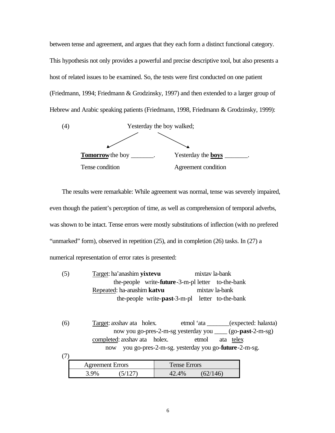between tense and agreement, and argues that they each form a distinct functional category. This hypothesis not only provides a powerful and precise descriptive tool, but also presents a host of related issues to be examined. So, the tests were first conducted on one patient (Friedmann, 1994; Friedmann & Grodzinsky, 1997) and then extended to a larger group of Hebrew and Arabic speaking patients (Friedmann, 1998, Friedmann & Grodzinsky, 1999):



The results were remarkable: While agreement was normal, tense was severely impaired, even though the patient's perception of time, as well as comprehension of temporal adverbs, was shown to be intact. Tense errors were mostly substitutions of inflection (with no prefered "unmarked" form), observed in repetition (25), and in completion (26) tasks. In (27) a numerical representation of error rates is presented:

(5) Target: ha'anashim **yixtevu** mixtav la-bank the-people write-**future**-3-m-pl letter to-the-bank Repeated: ha-anashim **katvu** mixtav la-bank the-people write-**past**-3-m-pl letter to-the-bank

(6) Target: axshav ata holex. etmol 'ata \_\_\_\_\_\_\_(expected: halaxta) now you go-pres-2-m-sg yesterday you \_\_\_\_ (go-**past**-2-m-sg) completed: axshav ata holex. etmol ata telex now you go-pres-2-m-sg. yesterday you go-**future**-2-m-sg. (7)

| <b>Agreement Errors</b> | Tense Errors |  |
|-------------------------|--------------|--|
|                         |              |  |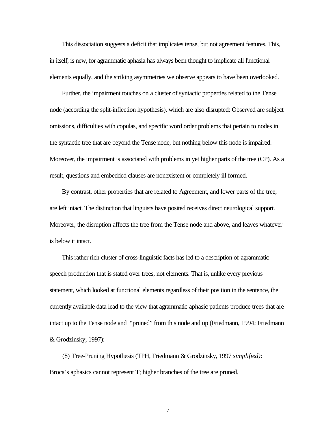This dissociation suggests a deficit that implicates tense, but not agreement features. This, in itself, is new, for agrammatic aphasia has always been thought to implicate all functional elements equally, and the striking asymmetries we observe appears to have been overlooked.

Further, the impairment touches on a cluster of syntactic properties related to the Tense node (according the split-inflection hypothesis), which are also disrupted: Observed are subject omissions, difficulties with copulas, and specific word order problems that pertain to nodes in the syntactic tree that are beyond the Tense node, but nothing below this node is impaired. Moreover, the impairment is associated with problems in yet higher parts of the tree (CP). As a result, questions and embedded clauses are nonexistent or completely ill formed.

By contrast, other properties that are related to Agreement, and lower parts of the tree, are left intact. The distinction that linguists have posited receives direct neurological support. Moreover, the disruption affects the tree from the Tense node and above, and leaves whatever is below it intact.

This rather rich cluster of cross-linguistic facts has led to a description of agrammatic speech production that is stated over trees, not elements. That is, unlike every previous statement, which looked at functional elements regardless of their position in the sentence, the currently available data lead to the view that agrammatic aphasic patients produce trees that are intact up to the Tense node and "pruned" from this node and up (Friedmann, 1994; Friedmann & Grodzinsky, 1997):

(8) Tree-Pruning Hypothesis (TPH, Friedmann & Grodzinsky, 1997 *simplified)*: Broca's aphasics cannot represent T; higher branches of the tree are pruned.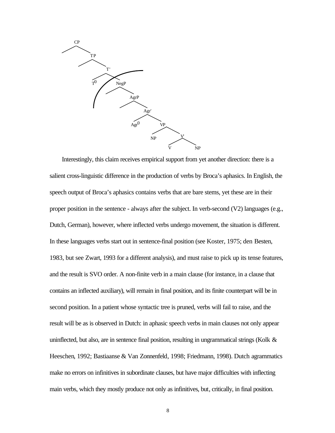

Interestingly, this claim receives empirical support from yet another direction: there is a salient cross-linguistic difference in the production of verbs by Broca's aphasics. In English, the speech output of Broca's aphasics contains verbs that are bare stems, yet these are in their proper position in the sentence - always after the subject. In verb-second  $(V2)$  languages (e.g., Dutch, German), however, where inflected verbs undergo movement, the situation is different. In these languages verbs start out in sentence-final position (see Koster, 1975; den Besten, 1983, but see Zwart, 1993 for a different analysis), and must raise to pick up its tense features, and the result is SVO order. A non-finite verb in a main clause (for instance, in a clause that contains an inflected auxiliary), will remain in final position, and its finite counterpart will be in second position. In a patient whose syntactic tree is pruned, verbs will fail to raise, and the result will be as is observed in Dutch: in aphasic speech verbs in main clauses not only appear uninflected, but also, are in sentence final position, resulting in ungrammatical strings (Kolk & Heeschen, 1992; Bastiaanse & Van Zonnenfeld, 1998; Friedmann, 1998). Dutch agrammatics make no errors on infinitives in subordinate clauses, but have major difficulties with inflecting main verbs, which they mostly produce not only as infinitives, but, critically, in final position.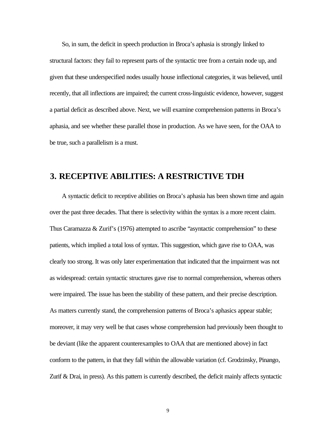So, in sum, the deficit in speech production in Broca's aphasia is strongly linked to structural factors: they fail to represent parts of the syntactic tree from a certain node up, and given that these underspecified nodes usually house inflectional categories, it was believed, until recently, that all inflections are impaired; the current cross-linguistic evidence, however, suggest a partial deficit as described above. Next, we will examine comprehension patterns in Broca's aphasia, and see whether these parallel those in production. As we have seen, for the OAA to be true, such a parallelism is a must.

## **3. RECEPTIVE ABILITIES: A RESTRICTIVE TDH**

A syntactic deficit to receptive abilities on Broca's aphasia has been shown time and again over the past three decades. That there is selectivity within the syntax is a more recent claim. Thus Caramazza & Zurif's (1976) attempted to ascribe "asyntactic comprehension" to these patients, which implied a total loss of syntax. This suggestion, which gave rise to OAA, was clearly too strong. It was only later experimentation that indicated that the impairment was not as widespread: certain syntactic structures gave rise to normal comprehension, whereas others were impaired. The issue has been the stability of these pattern, and their precise description. As matters currently stand, the comprehension patterns of Broca's aphasics appear stable; moreover, it may very well be that cases whose comprehension had previously been thought to be deviant (like the apparent counterexamples to OAA that are mentioned above) in fact conform to the pattern, in that they fall within the allowable variation (cf. Grodzinsky, Pinango, Zurif & Drai, in press). As this pattern is currently described, the deficit mainly affects syntactic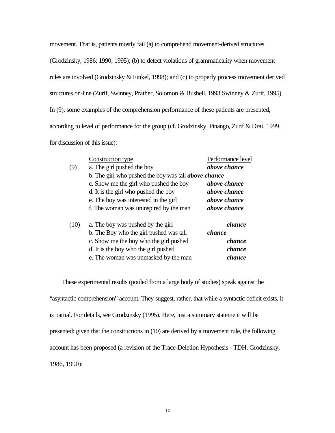movement. That is, patients mostly fail (a) to comprehend movement-derived structures (Grodzinsky, 1986; 1990; 1995); (b) to detect violations of grammaticality when movement rules are involved (Grodzinsky & Finkel, 1998); and (c) to properly process movement derived structures on-line (Zurif, Swinney, Prather, Solomon & Bushell, 1993 Swinney & Zurif, 1995). In (9), some examples of the comprehension performance of these patients are presented, according to level of performance for the group (cf. Grodzinsky, Pinango, Zurif & Drai, 1999, for discussion of this issue):

|      | Construction type                                           | Performance level   |
|------|-------------------------------------------------------------|---------------------|
| (9)  | a. The girl pushed the boy                                  | above chance        |
|      | b. The girl who pushed the boy was tall <i>above chance</i> |                     |
|      | c. Show me the girl who pushed the boy                      | <i>above chance</i> |
|      | d. It is the girl who pushed the boy                        | <i>above chance</i> |
|      | e. The boy was interested in the girl                       | <i>above chance</i> |
|      | f. The woman was uninspired by the man                      | <i>above chance</i> |
| (10) | a. The boy was pushed by the girl                           | <i>chance</i>       |
|      | b. The Boy who the girl pushed was tall                     | <i>chance</i>       |
|      | c. Show me the boy who the girl pushed                      | chance              |
|      | d. It is the boy who the girl pushed                        | chance              |
|      | e. The woman was unmasked by the man                        | chance              |
|      |                                                             |                     |

These experimental results (pooled from a large body of studies) speak against the

"asyntactic comprehension" account. They suggest, rather, that while a syntactic deficit exists, it is partial. For details, see Grodzinsky (1995). Here, just a summary statement will be presented: given that the constructions in (10) are derived by a movement rule, the following account has been proposed (a revision of the Trace-Deletion Hypothesis - TDH, Grodzinsky, 1986, 1990):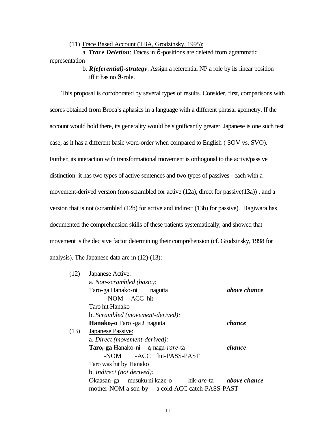(11) Trace Based Account (TBA, Grodzinsky, 1995):

 a. *Trace Deletion*: Traces in *J*-positions are deleted from agrammatic representation

> b. *R(eferential)-strategy*: Assign a referential NP a role by its linear position iff it has no *J*-role.

This proposal is corroborated by several types of results. Consider, first, comparisons with scores obtained from Broca's aphasics in a language with a different phrasal geometry. If the account would hold there, its generality would be significantly greater. Japanese is one such test case, as it has a different basic word-order when compared to English ( SOV vs. SVO). Further, its interaction with transformational movement is orthogonal to the active/passive distinction: it has two types of active sentences and two types of passives - each with a movement-derived version (non-scrambled for active (12a), direct for passive(13a)) , and a version that is not (scrambled (12b) for active and indirect (13b) for passive). Hagiwara has documented the comprehension skills of these patients systematically, and showed that movement is the decisive factor determining their comprehension (cf. Grodzinsky, 1998 for analysis). The Japanese data are in (12)-(13):

| (12) |      | Japanese Active:                                               |                                |
|------|------|----------------------------------------------------------------|--------------------------------|
|      |      | a. Non-scrambled (basic):                                      |                                |
|      |      | Taro-ga Hanako-ni nagutta                                      | <i>above chance</i>            |
|      |      | -NOM -ACC hit                                                  |                                |
|      |      | Taro hit Hanako                                                |                                |
|      |      | b. Scrambled (movement-derived):                               |                                |
|      |      | <b>Hanako</b> <sub>i</sub> -o Taro - ga $t_i$ nagutta          | <i>chance</i>                  |
|      | (13) | Japanese Passive:                                              |                                |
|      |      | a. Direct (movement-derived):                                  |                                |
|      |      | <b>Taro</b> $_{i}$ -ga Hanako-ni $t_{i}$ nagu- <i>rare</i> -ta | chance                         |
|      |      | -NOM - ACC hit-PASS-PAST                                       |                                |
|      |      | Taro was hit by Hanako                                         |                                |
|      |      | b. Indirect (not derived):                                     |                                |
|      |      | Okaasan-ga musuku-ni kaze-o                                    | hik-are-ta <b>above chance</b> |
|      |      | mother-NOM a son-by a cold-ACC catch-PASS-PAST                 |                                |
|      |      |                                                                |                                |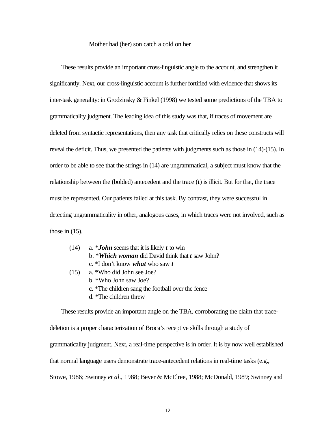#### Mother had (her) son catch a cold on her

These results provide an important cross-linguistic angle to the account, and strengthen it significantly. Next, our cross-linguistic account is further fortified with evidence that shows its inter-task generality: in Grodzinsky & Finkel (1998) we tested some predictions of the TBA to grammaticality judgment. The leading idea of this study was that, if traces of movement are deleted from syntactic representations, then any task that critically relies on these constructs will reveal the deficit. Thus, we presented the patients with judgments such as those in (14)-(15). In order to be able to see that the strings in (14) are ungrammatical, a subject must know that the relationship between the (bolded) antecedent and the trace (*t*) is illicit. But for that, the trace must be represented. Our patients failed at this task. By contrast, they were successful in detecting ungrammaticality in other, analogous cases, in which traces were not involved, such as those in  $(15)$ .

| (14) | a. * <b><i>John</i></b> seems that it is likely $t$ to win |
|------|------------------------------------------------------------|
|      | b. * <i>Which woman</i> did David think that $t$ saw John? |
|      | c. *I don't know <i>what</i> who saw <i>t</i>              |
| (15) | a. *Who did John see Joe?                                  |
|      | b. *Who John saw Joe?                                      |
|      | c. *The children sang the football over the fence          |
|      | $d.$ *The children threw                                   |
|      |                                                            |

These results provide an important angle on the TBA, corroborating the claim that tracedeletion is a proper characterization of Broca's receptive skills through a study of grammaticality judgment. Next, a real-time perspective is in order. It is by now well established that normal language users demonstrate trace-antecedent relations in real-time tasks (e.g., Stowe, 1986; Swinney *et al*., 1988; Bever & McElree, 1988; McDonald, 1989; Swinney and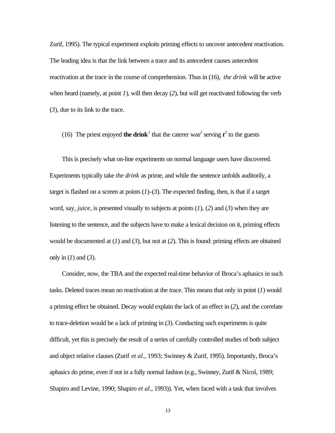Zurif, 1995). The typical experiment exploits priming effects to uncover antecedent reactivation. The leading idea is that the link between a trace and its antecedent causes antecedent reactivation at the trace in the course of comprehension. Thus in (16), *the drink* will be active when heard (namely, at point *1*), will then decay (*2*), but will get reactivated following the verb (*3*), due to its link to the trace.

(16) The priest enjoyed the drink<sup>1</sup> that the caterer was<sup>2</sup> serving  $t^3$  to the guests

This is precisely what on-line experiments on normal language users have discovered. Experiments typically take *the drink* as prime, and while the sentence unfolds auditorily, a target is flashed on a screen at points  $(1)$ - $(3)$ . The expected finding, then, is that if a target word, say, *juice*, is presented visually to subjects at points (*1*), (*2*) and (*3*) when they are listening to the sentence, and the subjects have to make a lexical decision on it, priming effects would be documented at (*1*) and (*3*), but not at (*2*). This is found: priming effects are obtained only in (*1*) and (*3*).

Consider, now, the TBA and the expected real-time behavior of Broca's aphasics in such tasks. Deleted traces mean no reactivation at the trace. This means that only in point (*1*) would a priming effect be obtained. Decay would explain the lack of an effect in (*2*), and the correlate to trace-deletion would be a lack of priming in (*3*). Conducting such experiments is quite difficult, yet this is precisely the result of a series of carefully controlled studies of both subject and object relative clauses (Zurif *et al*., 1993; Swinney & Zurif, 1995). Importantly, Broca's aphasics do prime, even if not in a fully normal fashion (e.g., Swinney, Zurif & Nicol, 1989; Shapiro and Levine, 1990; Shapiro *et al*., 1993)). Yet, when faced with a task that involves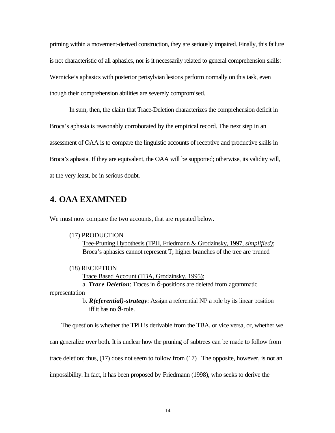priming within a movement-derived construction, they are seriously impaired. Finally, this failure is not characteristic of all aphasics, nor is it necessarily related to general comprehension skills: Wernicke's aphasics with posterior perisylvian lesions perform normally on this task, even though their comprehension abilities are severely compromised.

In sum, then, the claim that Trace-Deletion characterizes the comprehension deficit in Broca's aphasia is reasonably corroborated by the empirical record. The next step in an assessment of OAA is to compare the linguistic accounts of receptive and productive skills in Broca's aphasia. If they are equivalent, the OAA will be supported; otherwise, its validity will, at the very least, be in serious doubt.

### **4. OAA EXAMINED**

We must now compare the two accounts, that are repeated below.

(17) PRODUCTION

 Tree-Pruning Hypothesis (TPH, Friedmann & Grodzinsky, 1997, *simplified)*: Broca's aphasics cannot represent T; higher branches of the tree are pruned

(18) RECEPTION

Trace Based Account (TBA, Grodzinsky, 1995):

a. *Trace Deletion*: Traces in *J*-positions are deleted from agrammatic

representation

 b. *R(eferential)-strategy*: Assign a referential NP a role by its linear position iff it has no *J*-role.

The question is whether the TPH is derivable from the TBA, or vice versa, or, whether we

can generalize over both. It is unclear how the pruning of subtrees can be made to follow from

trace deletion; thus, (17) does not seem to follow from (17) . The opposite, however, is not an

impossibility. In fact, it has been proposed by Friedmann (1998), who seeks to derive the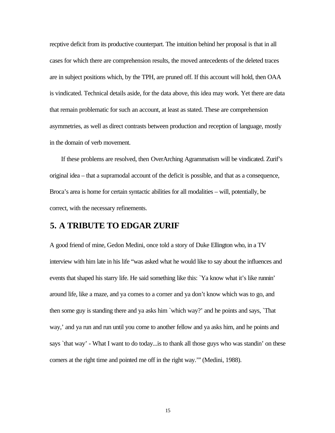recptive deficit from its productive counterpart. The intuition behind her proposal is that in all cases for which there are comprehension results, the moved antecedents of the deleted traces are in subject positions which, by the TPH, are pruned off. If this account will hold, then OAA is vindicated. Technical details aside, for the data above, this idea may work. Yet there are data that remain problematic for such an account, at least as stated. These are comprehension asymmetries, as well as direct contrasts between production and reception of language, mostly in the domain of verb movement.

If these problems are resolved, then OverArching Agrammatism will be vindicated. Zurif's original idea – that a supramodal account of the deficit is possible, and that as a consequence, Broca's area is home for certain syntactic abilities for all modalities – will, potentially, be correct, with the necessary refinements.

### **5. A TRIBUTE TO EDGAR ZURIF**

A good friend of mine, Gedon Medini, once told a story of Duke Ellington who, in a TV interview with him late in his life "was asked what he would like to say about the influences and events that shaped his starry life. He said something like this: `Ya know what it's like runnin' around life, like a maze, and ya comes to a corner and ya don't know which was to go, and then some guy is standing there and ya asks him `which way?' and he points and says, `That way,' and ya run and run until you come to another fellow and ya asks him, and he points and says `that way' - What I want to do today...is to thank all those guys who was standin' on these corners at the right time and pointed me off in the right way.'" (Medini, 1988).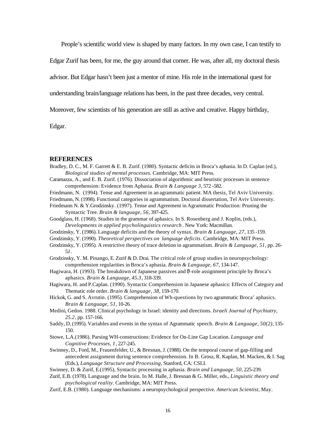People's scientific world view is shaped by many factors. In my own case, I can testify to

Edgar Zurif has been, for me, the guy around that corner. He was, after all, my doctoral thesis

advisor. But Edgar hasn't been just a mentor of mine. His role in the international quest for

understanding brain/language relations has been, in the past three decades, very central.

Moreover, few scientists of his generation are still as active and creative. Happy birthday,

Edgar.

#### **REFERENCES**

- Bradley, D. C., M. F. Garrett & E. B. Zurif. (1980). Syntactic deficits in Broca's aphasia. In D. Caplan (ed.), *Biological studies of mental processes*. Cambridge, MA: MIT Press.
- Caramazza, A., and E. B. Zurif. (1976). Dissociation of algorithmic and heuristic processes in sentence comprehension: Evidence from Aphasia. *Brain & Language 3*, 572 *-*582.
- Friedmann, N. (1994). Tense and Agreement in an agrammatic patient. MA thesis, Tel Aviv University.
- Friedmann, N. (1998). Functional categories in agrammatism. Doctoral dissertation, Tel Aviv University.

Friedmann N. & Y.Grodzinsky. (1997). Tense and Agreement in Agrammatic Production: Pruning the Syntactic Tree*. Brain & language, 56,* 397-425.

- Goodglass, H. (1968). Studies in the grammar of aphasics. In S. Rosenberg and J. Koplin, (eds.), *Developments in applied psycholinguistics research* . New York: Macmillan.
- Grodzinsky, Y. (1986). Language deficits and the theory of syntax. *Brain & Language, 27*, 135 *-*159.
- Grodzinsky, Y. (1990). *Theoretical perspectives on language deficits*. Cambridge, MA: MIT Press.
- Grodzinsky, Y. (1995). A restrictive theory of trace deletion in agrammatism. *Brain & Language, 51*, pp. 26- 5*1.*
- Grodzinsky, Y. M. Pinango, E. Zurif & D. Drai. The critical role of group studies in neuropsychology: comprehension regularities in Broca's aphasia. *Brain & Language, 67*, 134-147.
- Hagiwara, H. (1993). The breakdown of Japanese passives and *J-*role assignment principle by Broca's aphasics. *Brain & Language*, *45.3*, 318-339.
- Hagiwara, H. and P.Caplan. (1990). Syntactic Comprehension in Japanese aphasics: Effects of Category and Thematic role order. *Brain & language, 38*, 159-170.
- Hickok, G. and S. Avrutin. (1995). Comprehension of Wh-questions by two agrammatic Broca' aphasics. *Brain & Language, 51*, 10-26.
- Medini, Gedon. 1988. Clinical psychology in Israel: identity and directions. *Israeli Journal of Psychiatry, 25.2*, pp. 157-166.
- Saddy, D. (1995). Variables and events in the syntax of Agrammatic speech. *Brain & Language, 50(2),* 135- 150.
- Stowe, L.A.(1986). Parsing WH-constructions: Evidence for On-Line Gap Location. *Language and Cognitive Processes, 1*, 227-245.
- Swinney, D., Ford, M., Frauenfelder, U., & Bresnan, J. (1988). On the temporal course of gap-filling and antecedent assignment during sentence comprehension. In B. Grosz, R. Kaplan, M. Macken, & I. Sag (Eds.), *Language Structure and Processing*, Stanford, CA: CSLI.
- Swinney, D. & Zurif, E.(1995), Syntactic processing in aphasia. *Brain and Language, 50*, 225-239.
- Zurif, E.B. (1978). Language and the brain. In M. Halle, J. Bresnan & G. Miller, eds., *Linguistic theory and psychological reality*. Cambridge, MA: MIT Press.
- Zurif, E.B. (1980). Language mechanisms: a neuropsychological perspective. *American Scientist*, May.